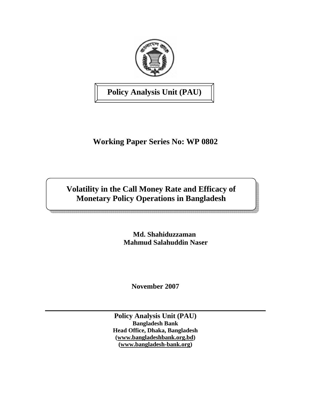

**Policy Analysis Unit (PAU)** 

# **Working Paper Series No: WP 0802**

# **Volatility in the Call Money Rate and Efficacy of Monetary Policy Operations in Bangladesh**

 **Md. Shahiduzzaman Mahmud Salahuddin Naser** 

**November 2007** 

**Policy Analysis Unit (PAU) Bangladesh Bank Head Office, Dhaka, Bangladesh (www.bangladeshbank.org.bd) (www.bangladesh-bank.org)**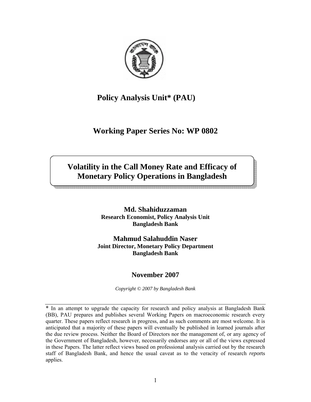

## **Policy Analysis Unit\* (PAU)**

# **Working Paper Series No: WP 0802**

# **Volatility in the Call Money Rate and Efficacy of Monetary Policy Operations in Bangladesh**

**Md. Shahiduzzaman Research Economist, Policy Analysis Unit Bangladesh Bank** 

**Mahmud Salahuddin Naser Joint Director, Monetary Policy Department Bangladesh Bank** 

## **November 2007**

*Copyright © 2007 by Bangladesh Bank* 

\* In an attempt to upgrade the capacity for research and policy analysis at Bangladesh Bank (BB), PAU prepares and publishes several Working Papers on macroeconomic research every quarter. These papers reflect research in progress, and as such comments are most welcome. It is anticipated that a majority of these papers will eventually be published in learned journals after the due review process. Neither the Board of Directors nor the management of, or any agency of the Government of Bangladesh, however, necessarily endorses any or all of the views expressed in these Papers. The latter reflect views based on professional analysis carried out by the research staff of Bangladesh Bank, and hence the usual caveat as to the veracity of research *repo*rts applies.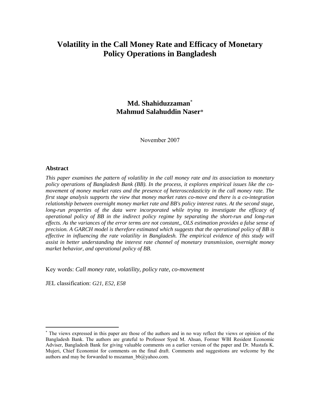## **Volatility in the Call Money Rate and Efficacy of Monetary Policy Operations in Bangladesh**

## **Md. Shahiduzzaman**<sup>∗</sup> **Mahmud Salahuddin Naser**\*

November 2007

### **Abstract**

 $\overline{a}$ 

*This paper examines the pattern of volatility in the call money rate and its association to monetary policy operations of Bangladesh Bank (BB). In the process, it explores empirical issues like the comovement of money market rates and the presence of heteroscedasticity in the call money rate. The first stage analysis supports the view that money market rates co-move and there is a co-integration relationship between overnight money market rate and BB's policy interest rates. At the second stage, long-run properties of the data were incorporated while trying to investigate the efficacy of operational policy of BB in the indirect policy regime by separating the short-run and long-run effects. As the variances of the error terms are not constant,, OLS estimation provides a false sense of precision. A GARCH model is therefore estimated which suggests that the operational policy of BB is effective in influencing the rate volatility in Bangladesh. The empirical evidence of this study will assist in better understanding the interest rate channel of monetary transmission, overnight money market behavior, and operational policy of BB.* 

Key words: *Call money rate, volatility, policy rate, co-movement* 

JEL classification: *G21, E52, E58*

<sup>∗</sup> The views expressed in this paper are those of the authors and in no way reflect the views or opinion of the Bangladesh Bank. The authors are grateful to Professor Syed M. Ahsan, Former WBI Resident Economic Adviser, Bangladesh Bank for giving valuable comments on a earlier version of the paper and Dr. Mustafa K. Mujeri, Chief Economist for comments on the final draft. Comments and suggestions are welcome by the authors and may be forwarded to mszaman\_bb@yahoo.com.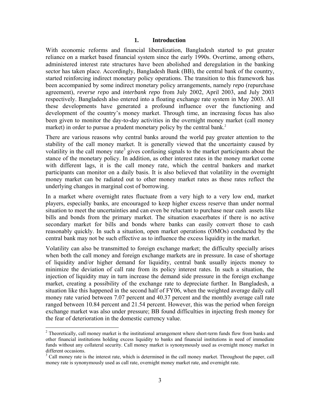### **1. Introduction**

With economic reforms and financial liberalization, Bangladesh started to put greater reliance on a market based financial system since the early 1990s. Overtime, among others, administered interest rate structures have been abolished and deregulation in the banking sector has taken place. Accordingly, Bangladesh Bank (BB), the central bank of the country, started reinforcing indirect monetary policy operations. The transition to this framework has been accompanied by some indirect monetary policy arrangements, namely *repo* (repurchase agreement), *reverse repo* and *interbank repo* from July 2002, April 2003, and July 2003 respectively. Bangladesh also entered into a floating exchange rate system in May 2003. All these developments have generated a profound influence over the functioning and development of the country's money market. Through time, an increasing focus has also been given to monitor the day-to-day activities in the overnight money market (call money market) in order to pursue a prudent monetary policy by the central bank.<sup>2</sup>

There are various reasons why central banks around the world pay greater attention to the stability of the call money market. It is generally viewed that the uncertainty caused by volatility in the call money rate<sup>3</sup> gives confusing signals to the market participants about the stance of the monetary policy. In addition, as other interest rates in the money market come with different lags, it is the call money rate, which the central bankers and market participants can monitor on a daily basis. It is also believed that volatility in the overnight money market can be radiated out to other money market rates as these rates reflect the underlying changes in marginal cost of borrowing.

In a market where overnight rates fluctuate from a very high to a very low end, market players, especially banks, are encouraged to keep higher excess reserve than under normal situation to meet the uncertainties and can even be reluctant to purchase near cash assets like bills and bonds from the primary market. The situation exacerbates if there is no active secondary market for bills and bonds where banks can easily convert those to cash reasonably quickly. In such a situation, open market operations (OMOs) conducted by the central bank may not be such effective as to influence the excess liquidity in the market.

Volatility can also be transmitted to foreign exchange market; the difficulty specially arises when both the call money and foreign exchange markets are in pressure. In case of shortage of liquidity and/or higher demand for liquidity, central bank usually injects money to minimize the deviation of call rate from its policy interest rates. In such a situation, the injection of liquidity may in turn increase the demand side pressure in the foreign exchange market, creating a possibility of the exchange rate to depreciate further. In Bangladesh, a situation like this happened in the second half of FY06, when the weighted average daily call money rate varied between 7.07 percent and 40.37 percent and the monthly average call rate ranged between 10.84 percent and 21.54 percent. However, this was the period when foreign exchange market was also under pressure; BB found difficulties in injecting fresh money for the fear of deterioration in the domestic currency value.

 $2$  Theoretically, call money market is the institutional arrangement where short-term funds flow from banks and other financial institutions holding excess liquidity to banks and financial institutions in need of immediate funds without any collateral security. Call money market is synonymously used as overnight money market in different occasions.

<sup>&</sup>lt;sup>3</sup> Call money rate is the interest rate, which is determined in the call money market. Throughout the paper, call money rate is synonymously used as call rate, overnight money market rate, and overnight rate.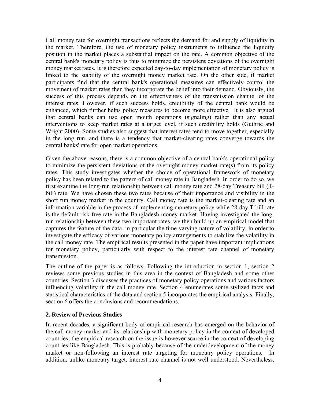Call money rate for overnight transactions reflects the demand for and supply of liquidity in the market. Therefore, the use of monetary policy instruments to influence the liquidity position in the market places a substantial impact on the rate. A common objective of the central bank's monetary policy is thus to minimize the persistent deviations of the overnight money market rates. It is therefore expected day-to-day implementation of monetary policy is linked to the stability of the overnight money market rate. On the other side, if market participants find that the central bank's operational measures can effectively control the movement of market rates then they incorporate the belief into their demand. Obviously, the success of this process depends on the effectiveness of the transmission channel of the interest rates. However, if such success holds, credibility of the central bank would be enhanced, which further helps policy measures to become more effective. It is also argued that central banks can use open mouth operations (signaling) rather than any actual interventions to keep market rates at a target level, if such credibility holds (Guthrie and Wright 2000). Some studies also suggest that interest rates tend to move together, especially in the long run, and there is a tendency that market-clearing rates converge towards the central banks' rate for open market operations.

Given the above reasons, there is a common objective of a central bank's operational policy to minimize the persistent deviations of the overnight money market rate(s) from its policy rates. This study investigates whether the choice of operational framework of monetary policy has been related to the pattern of call money rate in Bangladesh. In order to do so, we first examine the long-run relationship between call money rate and 28-day Treasury bill (Tbill) rate. We have chosen these two rates because of their importance and visibility in the short run money market in the country. Call money rate is the market-clearing rate and an information variable in the process of implementing monetary policy while 28-day T-bill rate is the default risk free rate in the Bangladesh money market. Having investigated the longrun relationship between these two important rates, we then build up an empirical model that captures the feature of the data, in particular the time-varying nature of volatility, in order to investigate the efficacy of various monetary policy arrangements to stabilize the volatility in the call money rate. The empirical results presented in the paper have important implications for monetary policy, particularly with respect to the interest rate channel of monetary transmission.

The outline of the paper is as follows. Following the introduction in section 1, section 2 reviews some previous studies in this area in the context of Bangladesh and some other countries. Section 3 discusses the practices of monetary policy operations and various factors influencing volatility in the call money rate. Section 4 enumerates some stylized facts and statistical characteristics of the data and section 5 incorporates the empirical analysis. Finally, section 6 offers the conclusions and recommendations.

## **2. Review of Previous Studies**

In recent decades, a significant body of empirical research has emerged on the behavior of the call money market and its relationship with monetary policy in the context of developed countries; the empirical research on the issue is however scarce in the context of developing countries like Bangladesh. This is probably because of the underdevelopment of the money market or non-following an interest rate targeting for monetary policy operations. In addition, unlike monetary target, interest rate channel is not well understood. Nevertheless,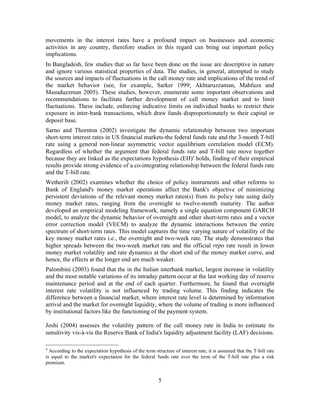movements in the interest rates have a profound impact on businesses and economic activities in any country, therefore studies in this regard can bring out important policy implications.

In Bangladesh, few studies that so far have been done on the issue are descriptive in nature and ignore various statistical properties of data. The studies, in general, attempted to study the sources and impacts of fluctuations in the call money rate and implications of the trend of the market behavior (see, for example, Sarker 1999; Akhtaruzzaman, Mahfuza and Masuduzzman 2005). These studies, however, enumerate some important observations and recommendations to facilitate further development of call money market and to limit fluctuations. These include, enforcing indicative limits on individual banks to restrict their exposure in inter-bank transactions, which draw funds disproportionately to their capital or deposit base.

Sarno and Thornton (2002) investigate the dynamic relationship between two important short-term interest rates in US financial markets-the federal funds rate and the 3-month T-bill rate using a general non-linear asymmetric vector equilibrium correlation model (ECM). Regardless of whether the argument that federal funds rate and T-bill rate move together because they are linked as the expectations hypothesis  $(EH)^4$  holds, finding of their empirical results provide strong evidence of a co-integrating relationship between the federal funds rate and the T-bill rate.

Wetherilt (2002) examines whether the choice of policy instruments and other reforms to Bank of England's money market operations affect the Bank's objective of minimizing persistent deviations of the relevant money market rates(s) from its policy rate using daily money market rates, ranging from the overnight to twelve-month maturity. The author developed an empirical modeling framework, namely a single equation component GARCH model, to analyze the dynamic behavior of overnight and other short-term rates and a vector error correction model (VECM) to analyze the dynamic interactions between the entire spectrum of short-term rates. This model captures the time varying nature of volatility of the key money market rates i.e., the overnight and two-week rate. The study demonstrates that higher spreads between the two-week market rate and the official *repo* rate result in lower money market volatility and rate dynamics at the short end of the money market curve, and hence, the effects at the longer end are much weaker.

Palombini (2003) found that the in the Italian interbank market, largest increase in volatility and the most notable variations of its intraday pattern occur at the last working day of reserve maintenance period and at the end of each quarter. Furthermore, he found that overnight interest rate volatility is not influenced by trading volume. This finding indicates the difference between a financial market, where interest rate level is determined by information arrival and the market for overnight liquidity, where the volume of trading is more influenced by institutional factors like the functioning of the payment system.

Joshi (2004) assesses the volatility pattern of the call money rate in India to estimate its sensitivity vis-à-vis the Reserve Bank of India's liquidity adjustment facility (LAF) decisions.

 $\overline{a}$ <sup>4</sup> According to the expectation hypothesis of the term structure of interest rate, it is assumed that the T-bill rate is equal to the market's expectation for the federal funds rate over the term of the T-bill rate plus a risk premium.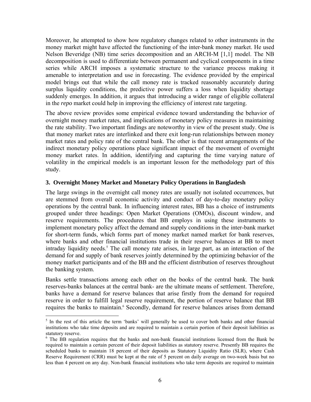Moreover, he attempted to show how regulatory changes related to other instruments in the money market might have affected the functioning of the inter-bank money market. He used Nelson Beveridge (NB) time series decomposition and an ARCH-M [1,1] model. The NB decomposition is used to differentiate between permanent and cyclical components in a time series while ARCH imposes a systematic structure to the variance process making it amenable to interpretation and use in forecasting. The evidence provided by the empirical model brings out that while the call money rate is tracked reasonably accurately during surplus liquidity conditions, the predictive power suffers a loss when liquidity shortage suddenly emerges. In addition, it argues that introducing a wider range of eligible collateral in the *repo* market could help in improving the efficiency of interest rate targeting.

The above review provides some empirical evidence toward understanding the behavior of overnight money market rates, and implications of monetary policy measures in maintaining the rate stability. Two important findings are noteworthy in view of the present study. One is that money market rates are interlinked and there exit long-run relationships between money market rates and policy rate of the central bank. The other is that recent arrangements of the indirect monetary policy operations place significant impact of the movement of overnight money market rates. In addition, identifying and capturing the time varying nature of volatility in the empirical models is an important lesson for the methodology part of this study.

## **3. Overnight Money Market and Monetary Policy Operations in Bangladesh**

The large swings in the overnight call money rates are usually not isolated occurrences, but are stemmed from overall economic activity and conduct of day-to-day monetary policy operations by the central bank. In influencing interest rates, BB has a choice of instruments grouped under three headings: Open Market Operations (OMOs), discount window, and reserve requirements. The procedures that BB employs in using these instruments to implement monetary policy affect the demand and supply conditions in the inter-bank market for short-term funds, which forms part of money market named market for bank reserves, where banks and other financial institutions trade in their reserve balances at BB to meet intraday liquidity needs.<sup>5</sup> The call money rate arises, in large part, as an interaction of the demand for and supply of bank reserves jointly determined by the optimizing behavior of the money market participants and of the BB and the efficient distribution of reserves throughout the banking system.

Banks settle transactions among each other on the books of the central bank. The bank reserves-banks balances at the central bank- are the ultimate means of settlement. Therefore, banks have a demand for reserve balances that arise firstly from the demand for required reserve in order to fulfill legal reserve requirement, the portion of reserve balance that BB requires the banks to maintain.<sup>6</sup> Secondly, demand for reserve balances arises from demand

<sup>&</sup>lt;sup>5</sup> In the rest of this article the term 'banks' will generally be used to cover both banks and other financial institutions who take time deposits and are required to maintain a certain portion of their deposit liabilities as statutory reserve.

<sup>&</sup>lt;sup>6</sup> The BB regulation requires that the banks and non-bank financial institutions licensed from the Bank be required to maintain a certain percent of their deposit liabilities as statutory reserve. Presently BB requires the scheduled banks to maintain 18 percent of their deposits as Statutory Liquidity Ratio (SLR), where Cash Reserve Requirement (CRR) must be kept at the rate of 5 percent on daily average on two-week basis but no less than 4 percent on any day. Non-bank financial institutions who take term deposits are required to maintain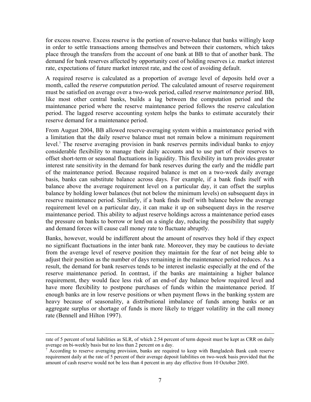for excess reserve. Excess reserve is the portion of reserve-balance that banks willingly keep in order to settle transactions among themselves and between their customers, which takes place through the transfers from the account of one bank at BB to that of another bank. The demand for bank reserves affected by opportunity cost of holding reserves i.e. market interest rate, expectations of future market interest rate, and the cost of avoiding default.

A required reserve is calculated as a proportion of average level of deposits held over a month, called the *reserve computation period*. The calculated amount of reserve requirement must be satisfied on average over a two-week period, called *reserve maintenance period*. BB, like most other central banks, builds a lag between the computation period and the maintenance period where the reserve maintenance period follows the reserve calculation period. The lagged reserve accounting system helps the banks to estimate accurately their reserve demand for a maintenance period.

From August 2004, BB allowed reserve-averaging system within a maintenance period with a limitation that the daily reserve balance must not remain below a minimum requirement level.<sup>7</sup> The reserve averaging provision in bank reserves permits individual banks to enjoy considerable flexibility to manage their daily accounts and to use part of their reserves to offset short-term or seasonal fluctuations in liquidity. This flexibility in turn provides greater interest rate sensitivity in the demand for bank reserves during the early and the middle part of the maintenance period. Because required balance is met on a two-week daily average basis, banks can substitute balance across days. For example, if a bank finds itself with balance above the average requirement level on a particular day, it can offset the surplus balance by holding lower balances (but not below the minimum levels) on subsequent days in reserve maintenance period. Similarly, if a bank finds itself with balance below the average requirement level on a particular day, it can make it up on subsequent days in the reserve maintenance period. This ability to adjust reserve holdings across a maintenance period eases the pressure on banks to borrow or lend on a single day, reducing the possibility that supply and demand forces will cause call money rate to fluctuate abruptly.

Banks, however, would be indifferent about the amount of reserves they hold if they expect no significant fluctuations in the inter bank rate. Moreover, they may be cautious to deviate from the average level of reserve position they maintain for the fear of not being able to adjust their position as the number of days remaining in the maintenance period reduces. As a result, the demand for bank reserves tends to be interest inelastic especially at the end of the reserve maintenance period. In contrast, if the banks are maintaining a higher balance requirement, they would face less risk of an end-of day balance below required level and have more flexibility to postpone purchases of funds within the maintenance period. If enough banks are in low reserve positions or when payment flows in the banking system are heavy because of seasonality, a distributional imbalance of funds among banks or an aggregate surplus or shortage of funds is more likely to trigger volatility in the call money rate (Bennell and Hilton 1997).

rate of 5 percent of total liabilities as SLR, of which 2.54 percent of term deposit must be kept as CRR on daily average on bi-weekly basis but no less than 2 percent on a day.

<sup>&</sup>lt;sup>7</sup> According to reserve averaging provision, banks are required to keep with Bangladesh Bank cash reserve requirement daily at the rate of 5 percent of their average deposit liabilities on two-week basis provided that the amount of cash reserve would not be less than 4 percent in any day effective from 10 October 2005.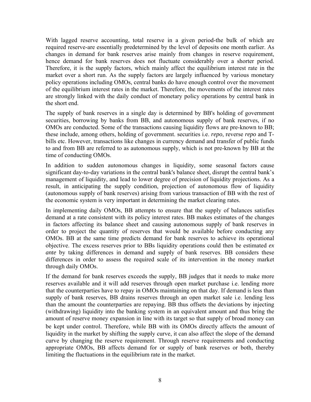With lagged reserve accounting, total reserve in a given period-the bulk of which are required reserve-are essentially predetermined by the level of deposits one month earlier. As changes in demand for bank reserves arise mainly from changes in reserve requirement, hence demand for bank reserves does not fluctuate considerably over a shorter period. Therefore, it is the supply factors, which mainly affect the equilibrium interest rate in the market over a short run. As the supply factors are largely influenced by various monetary policy operations including OMOs, central banks do have enough control over the movement of the equilibrium interest rates in the market. Therefore, the movements of the interest rates are strongly linked with the daily conduct of monetary policy operations by central bank in the short end.

The supply of bank reserves in a single day is determined by BB's holding of government securities, borrowing by banks from BB, and autonomous supply of bank reserves, if no OMOs are conducted. Some of the transactions causing liquidity flows are pre-known to BB; these include, among others, holding of government. securities i.e. *repo*, reverse *repo* and Tbills etc. However, transactions like changes in currency demand and transfer of public funds to and from BB are referred to as autonomous supply, which is not pre-known by BB at the time of conducting OMOs.

In addition to sudden autonomous changes in liquidity, some seasonal factors cause significant day-to-day variations in the central bank's balance sheet, disrupt the central bank's management of liquidity, and lead to lower degree of precision of liquidity projections. As a result, in anticipating the supply condition, projection of autonomous flow of liquidity (autonomous supply of bank reserves) arising from various transaction of BB with the rest of the economic system is very important in determining the market clearing rates.

In implementing daily OMOs, BB attempts to ensure that the supply of balances satisfies demand at a rate consistent with its policy interest rates. BB makes estimates of the changes in factors affecting its balance sheet and causing autonomous supply of bank reserves in order to project the quantity of reserves that would be available before conducting any OMOs. BB at the same time predicts demand for bank reserves to achieve its operational objective. The excess reserves prior to BBs liquidity operations could then be estimated *ex ante* by taking differences in demand and supply of bank reserves. BB considers these differences in order to assess the required scale of its intervention in the money market through daily OMOs.

If the demand for bank reserves exceeds the supply, BB judges that it needs to make more reserves available and it will add reserves through open market purchase i.e. lending more that the counterparties have to repay in OMOs maintaining on that day. If demand is less than supply of bank reserves, BB drains reserves through an open market sale i.e. lending less than the amount the counterparties are repaying. BB thus offsets the deviations by injecting (withdrawing) liquidity into the banking system in an equivalent amount and thus bring the amount of reserve money expansion in line with its target so that supply of broad money can be kept under control. Therefore, while BB with its OMOs directly affects the amount of liquidity in the market by shifting the supply curve, it can also affect the slope of the demand curve by changing the reserve requirement. Through reserve requirements and conducting appropriate OMOs, BB affects demand for or supply of bank reserves or both, thereby limiting the fluctuations in the equilibrium rate in the market.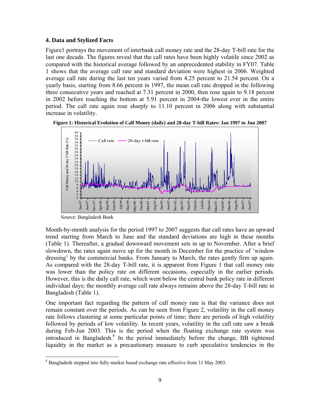## **4. Data and Stylized Facts**

Figure1 portrays the movement of interbank call money rate and the 28-day T-bill rate for the last one decade. The figures reveal that the call rates have been highly volatile since 2002 as compared with the historical average followed by an unprecedented stability in FY07. Table 1 shows that the average call rate and standard deviation were highest in 2006. Weighted average call rate during the last ten years varied from 4.25 percent to 21.54 percent. On a yearly basis, starting from 8.66 percent in 1997, the mean call rate dropped in the following three consecutive years and reached at 7.31 percent in 2000, then rose again to 9.18 percent in 2002 before touching the bottom at 5.91 percent in 2004-the lowest ever in the entire period. The call rate again rose sharply to 11.10 percent in 2006 along with substantial increase in volatility.





Source: Bangladesh Bank

 $\overline{a}$ 

Month-by-month analysis for the period 1997 to 2007 suggests that call rates have an upward trend starting from March to June and the standard deviations are high in these months (Table 1). Thereafter, a gradual downward movement sets in up to November. After a brief slowdown, the rates again move up for the month in December for the practice of 'window dressing' by the commercial banks. From January to March, the rates gently firm up again. As compared with the 28-day T-bill rate, it is apparent from Figure 1 that call money rate was lower than the policy rate on different occasions, especially in the earlier periods. However, this is the daily call rate, which went below the central bank policy rate in different individual days; the monthly average call rate always remains above the 28-day T-bill rate in Bangladesh (Table 1).

One important fact regarding the pattern of call money rate is that the variance does not remain constant over the periods. As can be seen from Figure 2, volatility in the call money rate follows clustering at some particular points of time; there are periods of high volatility followed by periods of low volatility. In recent years, volatility in the call rate saw a break during Feb-Jun 2003. This is the period when the floating exchange rate system was introduced in Bangladesh.<sup>8</sup> In the period immediately before the change, BB tightened liquidity in the market as a precautionary measure to curb speculative tendencies in the

 $8$  Bangladesh stepped into fully market based exchange rate effective from 31 May 2003.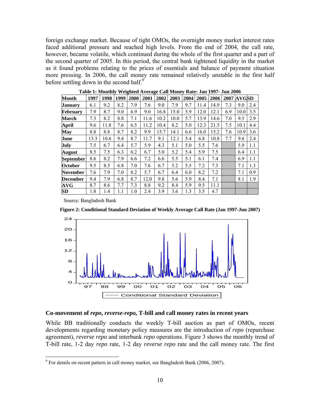foreign exchange market. Because of tight OMOs, the overnight money market interest rates faced additional pressure and reached high levels. From the end of 2004, the call rate, however, became volatile, which continued during the whole of the first quarter and a part of the second quarter of 2005. In this period, the central bank tightened liquidity in the market as it found problems relating to the prices of essentials and balance of payment situation more pressing. In 2006, the call money rate remained relatively unstable in the first half before settling down in the second half. $9$ 

| <b>Month</b>     | 1997 | 1998 | 1999 | 2000 | 2001 | 2002 | 2003 | 2004 | 2005 | 2006 | 2007 | <b>AVGSD</b> |     |
|------------------|------|------|------|------|------|------|------|------|------|------|------|--------------|-----|
| Januarv          | 6.1  | 9.2  | 8.2  | 7.9  | 7.6  | 9.0  | 7.9  | 9.7  | 11.4 | 14.9 | 7.3  | 9.0          | 2.4 |
| February         | 7.9  | 8.7  | 9.0  | 6.9  | 9.0  | 16.8 | 15.0 | 5.9  | 12.0 | 12.1 | 6.9  | 10.0         | 3.5 |
| March            | 7.3  | 8.2  | 8.8  | 7.1  | 11.6 | 10.2 | 10.0 | 5.7  | 13.9 | 14.6 | 7.0  | 9.5          | 2.9 |
| April            | 9.6  | 11.8 | 7.6  | 6.5  | 11.2 | 10.4 | 8.2  | 5.0  | 12.3 | 21.5 | 7.5  | 10.1         | 4.4 |
| May              | 8.8  | 8.8  | 8.7  | 8.2  | 9.9  | 15.7 | 14.1 | 6.6  | 16.0 | 15.2 | 7.6  | 10.9         | 3.6 |
| June             | 13.3 | 10.6 | 9.4  | 8.7  | 11.7 | 9.1  | 12.1 | 5.4  | 6.8  | 10.8 | 7.7  | 9.6          | 2.4 |
| July             | 7.5  | 6.7  | 6.4  | 5.7  | 5.9  | 4.3  | 5.1  | 5.0  | 5.5  | 7.6  |      | 5.9          | 1.1 |
| August           | 8.5  | 7.5  | 6.3  | 6.2  | 6.7  | 5.0  | 5.2  | 5.4  | 5.9  | 7.5  |      | 6.4          | 1.1 |
| <b>September</b> | 8.6  | 8.2  | 7.9  | 6.6  | 7.2  | 6.6  | 5.5  | 5.1  | 6.1  | 7.4  |      | 6.9          | 1.1 |
| <b>October</b>   | 9.5  | 8.5  | 6.8  | 7.0  | 7.6  | 6.7  | 5.2  | 5.5  | 7.2  | 7.3  |      | 7.1          | 1.3 |
| November         | 7.6  | 7.9  | 7.0  | 8.2  | 5.7  | 6.7  | 6.4  | 6.0  | 8.2  | 7.2  |      | 7.1          | 0.9 |
| <b>December</b>  | 9.4  | 7.9  | 6.8  | 8.7  | 12.0 | 9.8  | 5.6  | 5.9  | 8.4  | 7.1  |      | 8.1          | 1.9 |
| <b>AVG</b>       | 8.7  | 8.6  | 7.7  | 7.3  | 8.8  | 9.2  | 8.4  | 5.9  | 9.5  | 11.1 |      |              |     |
| SD               | 1.8  | 1.4  | 1.1  | 1.0  | 2.4  | 3.9  | 3.6  | 1.3  | 3.5  | 4.7  |      |              |     |

**Table 1: Monthly Weighted Average Call Money Rate: Jan 1997- Jun 2006** 

Source: Bangladesh Bank

 $\overline{a}$ 

**Figure 2: Conditional Standard Deviation of Weekly Average Call Rate (Jan 1997-Jun 2007)**



#### **Co-movement of** *repo***,** *reverse***-***repo,* **T-bill and call money rates in recent years**

While BB traditionally conducts the weekly T-bill auction as part of OMOs, recent developments regarding monetary policy measures are the introduction of *repo* (repurchase agreement), *reverse repo* and interbank *repo* operations. Figure 3 shows the monthly trend of T-bill rate, 1-2 day *repo* rate, 1-2 day *reverse repo* rate and the call money rate. The first

 $9^9$  For details on recent pattern in call money market, see Bangladesh Bank (2006, 2007).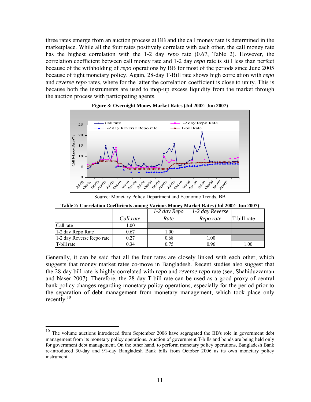three rates emerge from an auction process at BB and the call money rate is determined in the marketplace. While all the four rates positively correlate with each other, the call money rate has the highest correlation with the 1-2 day *repo* rate (0.67, Table 2). However, the correlation coefficient between call money rate and 1-2 day *repo* rate is still less than perfect because of the withholding of *repo* operations by BB for most of the periods since June 2005 because of tight monetary policy. Again, 28-day T-Bill rate shows high correlation with *repo* and *reverse repo* rates, where for the latter the correlation coefficient is close to unity. This is because both the instruments are used to mop-up excess liquidity from the market through the auction process with participating agents.





Source: Monetary Policy Department and Economic Trends, BB

|                          |           | 1-2 day Repo | 1-2 day Reverse |             |
|--------------------------|-----------|--------------|-----------------|-------------|
|                          | Call rate | Rate         | Repo rate       | T-bill rate |
| Call rate                | 1.00      |              |                 |             |
| 1-2 day Repo Rate        | 0.67      | 1.00         |                 |             |
| 1-2 day Reverse Reporate | 0.27      | 0.68         | l.00            |             |
| T-bill rate              | 0.34      | 0.75         | 0.96            | 0.01        |

**Table 2: Correlation Coefficients among Various Money Market Rates (Jul 2002- Jun 2007)** 

Generally, it can be said that all the four rates are closely linked with each other, which suggests that money market rates co-move in Bangladesh. Recent studies also suggest that the 28-day bill rate is highly correlated with *repo* and *reverse repo* rate (see, Shahiduzzaman and Naser 2007). Therefore, the 28-day T-bill rate can be used as a good proxy of central bank policy changes regarding monetary policy operations, especially for the period prior to the separation of debt management from monetary management, which took place only recently. $^{10}$ 

<sup>&</sup>lt;sup>10</sup> The volume auctions introduced from September 2006 have segregated the BB's role in government debt management from its monetary policy operations. Auction of government T-bills and bonds are being held only for government debt management. On the other hand, to perform monetary policy operations, Bangladesh Bank re-introduced 30-day and 91-day Bangladesh Bank bills from October 2006 as its own monetary policy instrument.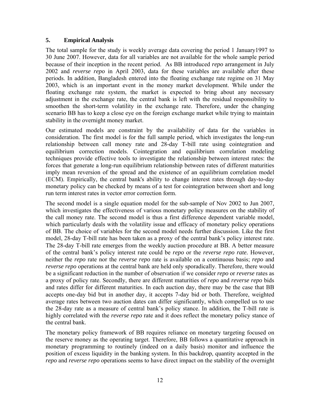## **5. Empirical Analysis**

The total sample for the study is weekly average data covering the period 1 January1997 to 30 June 2007. However, data for all variables are not available for the whole sample period because of their inception in the recent period. As BB introduced *repo* arrangement in July 2002 and *reverse repo* in April 2003, data for these variables are available after these periods. In addition, Bangladesh entered into the floating exchange rate regime on 31 May 2003, which is an important event in the money market development. While under the floating exchange rate system, the market is expected to bring about any necessary adjustment in the exchange rate, the central bank is left with the residual responsibility to smoothen the short-term volatility in the exchange rate. Therefore, under the changing scenario BB has to keep a close eye on the foreign exchange market while trying to maintain stability in the overnight money market.

Our estimated models are constraint by the availability of data for the variables in consideration. The first model is for the full sample period, which investigates the long-run relationship between call money rate and 28-day T-bill rate using cointegration and equilibrium correction models. Cointegration and equilibrium correlation modeling techniques provide effective tools to investigate the relationship between interest rates: the forces that generate a long-run equilibrium relationship between rates of different maturities imply mean reversion of the spread and the existence of an equilibrium correlation model (ECM). Empirically, the central bank's ability to change interest rates through day-to-day monetary policy can be checked by means of a test for cointegration between short and long run term interest rates in vector error correction form.

The second model is a single equation model for the sub-sample of Nov 2002 to Jun 2007, which investigates the effectiveness of various monetary policy measures on the stability of the call money rate. The second model is thus a first difference dependent variable model, which particularly deals with the volatility issue and efficacy of monetary policy operations of BB. The choice of variables for the second model needs further discussion. Like the first model, 28-day T-bill rate has been taken as a proxy of the central bank's policy interest rate. The 28-day T-bill rate emerges from the weekly auction procedure at BB. A better measure of the central bank's policy interest rate could be *repo* or the *reverse repo rate.* However, neither the *repo* rate nor the *reverse repo* rate is available on a continuous basis; *repo* and *reverse repo* operations at the central bank are held only sporadically. Therefore, there would be a significant reduction in the number of observation if we consider *repo* or *reverse* rates as a proxy of policy rate. Secondly, there are different maturities of *repo* and *reverse repo* bids and rates differ for different maturities. In each auction day, there may be the case that BB accepts one-day bid but in another day, it accepts 7-day bid or both. Therefore, weighted average rates between two auction dates can differ significantly, which compelled us to use the 28-day rate as a measure of central bank's policy stance. In addition, the T-bill rate is highly correlated with the *reverse repo* rate and it does reflect the monetary policy stance of the central bank.

The monetary policy framework of BB requires reliance on monetary targeting focused on the reserve money as the operating target. Therefore, BB follows a quantitative approach in monetary programming to routinely (indeed on a daily basis) monitor and influence the position of excess liquidity in the banking system. In this backdrop, quantity accepted in the *repo* and *reverse repo* operations seems to have direct impact on the stability of the overnight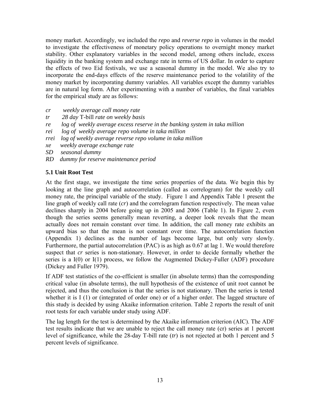money market. Accordingly, we included the *repo* and *reverse repo* in volumes in the model to investigate the effectiveness of monetary policy operations to overnight money market stability. Other explanatory variables in the second model, among others include, excess liquidity in the banking system and exchange rate in terms of US dollar. In order to capture the effects of two Eid festivals, we use a seasonal dummy in the model. We also try to incorporate the end-days effects of the reserve maintenance period to the volatility of the money market by incorporating dummy variables. All variables except the dummy variables are in natural log form. After experimenting with a number of variables, the final variables for the empirical study are as follows:

- *cr weekly average call money rate*
- *tr 28 day* T-bill *rate on weekly basis*
- *re log of weekly average excess reserve in the banking system in taka million*
- *rei log of weekly average repo volume in taka million*
- *rrei log of weekly average reverse repo volume in taka million*
- *xe weekly average exchange rate*
- *SD seasonal dummy*
- *RD dummy for reserve maintenance period*

## **5.1 Unit Root Test**

At the first stage, we investigate the time series properties of the data. We begin this by looking at the line graph and autocorrelation (called as correlogram) for the weekly call money rate, the principal variable of the study. Figure 1 and Appendix Table 1 present the line graph of weekly call rate (*cr*) and the correlogram function respectively. The mean value declines sharply in 2004 before going up in 2005 and 2006 (Table 1). In Figure 2, even though the series seems generally mean reverting, a deeper look reveals that the mean actually does not remain constant over time. In addition, the call money rate exhibits an upward bias so that the mean is not constant over time. The autocorrelation function (Appendix 1) declines as the number of lags become large, but only very slowly. Furthermore, the partial autocorrelation (PAC) is as high as 0.67 at lag 1. We would therefore suspect that *cr* series is non-stationary. However, in order to decide formally whether the series is a I(0) or I(1) process, we follow the Augmented Dickey-Fuller (ADF) procedure (Dickey and Fuller 1979).

If ADF test statistics of the co-efficient is smaller (in absolute terms) than the corresponding critical value (in absolute terms), the null hypothesis of the existence of unit root cannot be rejected, and thus the conclusion is that the series is not stationary. Then the series is tested whether it is I (1) or (integrated of order one) or of a higher order. The lagged structure of this study is decided by using Akaike information criterion. Table 2 reports the result of unit root tests for each variable under study using ADF.

The lag length for the test is determined by the Akaike information criterion (AIC). The ADF test results indicate that we are unable to reject the call money rate (cr) series at 1 percent level of significance, while the 28-day T-bill rate (*tr*) is not rejected at both 1 percent and 5 percent levels of significance.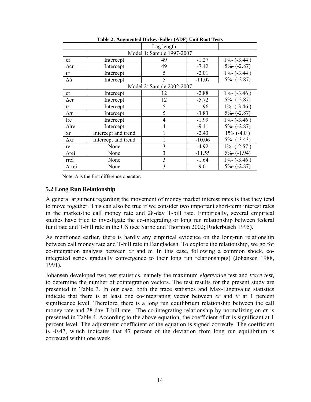|              |                     | Lag length                |          |                 |
|--------------|---------------------|---------------------------|----------|-----------------|
|              |                     | Model 1: Sample 1997-2007 |          |                 |
| cr           | Intercept           | 49                        | $-1.27$  | $1\% - (-3.44)$ |
| $\Delta$ cr  | Intercept           | 49                        | $-7.42$  | $5%-(-2.87)$    |
| tr           | Intercept           | 5                         | $-2.01$  | $1\% - (-3.44)$ |
| $\Delta tr$  | Intercept           | 5                         | $-11.07$ | $5%-(-2.87)$    |
|              |                     | Model 2: Sample 2002-2007 |          |                 |
| cr           | Intercept           | 12                        | $-2.88$  | $1\% - (-3.46)$ |
| $\Delta$ cr  | Intercept           | 12                        | $-5.72$  | $5% - (-2.87)$  |
| tr           | Intercept           | 5                         | $-1.96$  | $1\% - (-3.46)$ |
| $\Delta tr$  | Intercept           | 5                         | $-3.83$  | $5% - (-2.87)$  |
| lre          | Intercept           | 4                         | $-1.99$  | $1\% - (-3.46)$ |
| $\Delta$ lre | Intercept           | 4                         | $-9.11$  | $5%-(-2.87)$    |
| xr           | Intercept and trend |                           | $-2.43$  | $1\% - (-4.0)$  |
| $\Delta$ xr  | Intercept and trend |                           | $-10.06$ | $5% - (-3.43)$  |
| rei          | None                | 3                         | $-4.92$  | $1\% - (-2.57)$ |
| <b>Arei</b>  | None                | $\overline{3}$            | $-11.55$ | $5% - (-1.94)$  |
| rrei         | None                | 3                         | $-1.64$  | $1\% - (-3.46)$ |
| ∆rrei        | None                | 3                         | $-9.01$  | $5% - (-2.87)$  |

**Table 2: Augmented Dickey-Fuller (ADF) Unit Root Tests** 

Note:  $\Delta$  is the first difference operator.

## **5.2 Long Run Relationship**

A general argument regarding the movement of money market interest rates is that they tend to move together. This can also be true if we consider two important short-term interest rates in the market-the call money rate and 28-day T-bill rate. Empirically, several empirical studies have tried to investigate the co-integrating or long run relationship between federal fund rate and T-bill rate in the US (see Sarno and Thornton 2002; Ruderbusch 1995).

As mentioned earlier, there is hardly any empirical evidence on the long-run relationship between call money rate and T-bill rate in Bangladesh. To explore the relationship, we go for co-integration analysis between *cr* and *tr*. In this case, following a common shock, cointegrated series gradually convergence to their long run relationship(s) (Johansen 1988, 1991).

Johansen developed two test statistics, namely the maximum *eigenvalue* test and *trace test,*  to determine the number of cointegration vectors. The test results for the present study are presented in Table 3. In our case, both the trace statistics and Max-Eigenvalue statistics indicate that there is at least one co-integrating vector between *cr* and *tr* at 1 percent significance level. Therefore, there is a long run equilibrium relationship between the call money rate and 28-day T-bill rate. The co-integrating relationship by normalizing on *cr* is presented in Table 4. According to the above equation, the coefficient of *tr* is significant at 1 percent level. The adjustment coefficient of the equation is signed correctly. The coefficient is -0.47, which indicates that 47 percent of the deviation from long run equilibrium is corrected within one week.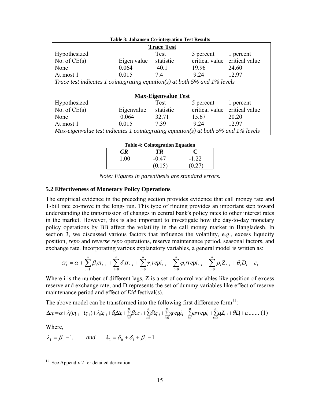|                                                                                          | <b>Table 3: Johansen Co-integration Test Results</b> |                            |                |                                        |  |  |  |  |  |  |
|------------------------------------------------------------------------------------------|------------------------------------------------------|----------------------------|----------------|----------------------------------------|--|--|--|--|--|--|
| <b>Trace Test</b>                                                                        |                                                      |                            |                |                                        |  |  |  |  |  |  |
| Hypothesized                                                                             |                                                      | Test                       | 5 percent      | 1 percent                              |  |  |  |  |  |  |
| No. of $CE(s)$                                                                           | Eigen value                                          | statistic                  | critical value | critical value                         |  |  |  |  |  |  |
| None                                                                                     | 0.064                                                | 40.1                       | 19.96          | 24.60                                  |  |  |  |  |  |  |
| At most 1                                                                                | 0.015                                                | 74                         | 9.24           | 12.97                                  |  |  |  |  |  |  |
| Trace test indicates 1 cointegrating equation(s) at both 5% and 1% levels                |                                                      |                            |                |                                        |  |  |  |  |  |  |
|                                                                                          |                                                      |                            |                |                                        |  |  |  |  |  |  |
|                                                                                          |                                                      | <b>Max-Eigenvalue Test</b> |                |                                        |  |  |  |  |  |  |
| Hypothesized                                                                             |                                                      | Test                       | 5 percent      | 1 percent                              |  |  |  |  |  |  |
| No. of $CE(s)$                                                                           | Eigenvalue                                           | statistic                  | critical value | critical value                         |  |  |  |  |  |  |
| None                                                                                     | 0.064                                                | 32.71                      | 15.67          | 20.20                                  |  |  |  |  |  |  |
| At most 1                                                                                | 0.015                                                | 7.39                       | 9.24           | 12.97                                  |  |  |  |  |  |  |
| Max-eigenvalue test indicates 1 cointegrating equation(s) at both $5\%$ and $1\%$ levels |                                                      |                            |                |                                        |  |  |  |  |  |  |
|                                                                                          |                                                      |                            |                |                                        |  |  |  |  |  |  |
|                                                                                          |                                                      |                            |                | <b>Table 4: Cointegration Equation</b> |  |  |  |  |  |  |

| <b>Table 4: Cointegration Equation</b> |         |        |  |  |  |  |
|----------------------------------------|---------|--------|--|--|--|--|
| CR.                                    | TR      |        |  |  |  |  |
| 1 00                                   | $-0.47$ | $-122$ |  |  |  |  |
|                                        | (0.15)  | (0.27) |  |  |  |  |

*Note: Figures in parenthesis are standard errors.* 

#### **5.2 Effectiveness of Monetary Policy Operations**

The empirical evidence in the preceding section provides evidence that call money rate and T-bill rate co-move in the long- run. This type of finding provides an important step toward understanding the transmission of changes in central bank's policy rates to other interest rates in the market. However, this is also important to investigate how the day-to-day monetary policy operations by BB affect the volatility in the call money market in Bangladesh. In section 3, we discussed various factors that influence the volatility, e.g., excess liquidity position, *repo* and *reverse repo* operations, reserve maintenance period, seasonal factors, and exchange rate. Incorporating various explanatory variables, a general model is written as:

$$
cr_{t}=\alpha+\sum_{i=1}^n\beta_{i}cr_{t-i}+\sum_{i=0}^n\delta_{i}tr_{t-i}+\sum_{i=0}^n\gamma_{i}repi_{t-i}+\sum_{i=0}^n\varphi_{i}rrepi_{t-i}+\sum_{t=0}^n\rho_{i}Z_{t-i}+\theta_{i}D_{i}+\varepsilon_{t}
$$

Where i is the number of different lags, Z is a set of control variables like position of excess reserve and exchange rate, and D represents the set of dummy variables like effect of reserve maintenance period and effect of *Eid* festival(s).

The above model can be transformed into the following first difference form $11$ :

$$
\Delta c_{\zeta} = \alpha + \lambda_{1}(c_{\zeta_{-1}} - t_{\zeta_{-1}}) + \lambda_{2} t_{\zeta_{-1}} + \delta_{0} \Delta r_{\zeta} + \sum_{i=2}^{n} \beta_{i} c_{\zeta_{-i}} + \sum_{i=0}^{n} \beta_{i} r_{\zeta_{-i}} + \sum_{i=0}^{n} \gamma_{i} r_{i} e_{\zeta_{-i}} + \sum_{i=0}^{n} \beta_{i} r_{\zeta_{-i}} + \sum_{i=0}^{n} \beta_{i} Z_{\zeta_{-i}} + \theta_{i} D_{i} + \varepsilon_{i} \dots \dots (1)
$$

Where,

$$
\lambda_1 = \beta_1 - 1, \qquad \text{and} \qquad \lambda_2 = \delta_0 + \delta_1 + \beta_1 - 1
$$

 $11$  See Appendix 2 for detailed derivation.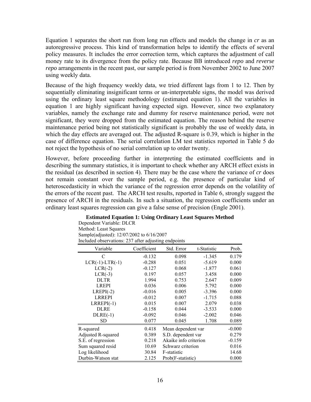Equation 1 separates the short run from long run effects and models the change in *cr* as an autoregressive process. This kind of transformation helps to identify the effects of several policy measures. It includes the error correction term, which captures the adjustment of call money rate to its divergence from the policy rate. Because BB introduced *repo* and *reverse repo* arrangements in the recent past, our sample period is from November 2002 to June 2007 using weekly data.

Because of the high frequency weekly data, we tried different lags from 1 to 12. Then by sequentially eliminating insignificant terms or un-interpretable signs, the model was derived using the ordinary least square methodology (estimated equation 1). All the variables in equation 1 are highly significant having expected sign. However, since two explanatory variables, namely the exchange rate and dummy for reserve maintenance period, were not significant, they were dropped from the estimated equation. The reason behind the reserve maintenance period being not statistically significant is probably the use of weekly data, in which the day effects are averaged out. The adjusted R-square is 0.39, which is higher in the case of difference equation. The serial correlation LM test statistics reported in Table 5 do not reject the hypothesis of no serial correlation up to order twenty.

However, before proceeding further in interpreting the estimated coefficients and in describing the summary statistics, it is important to check whether any ARCH effect exists in the residual (as described in section 4). There may be the case where the variance of *cr* does not remain constant over the sample period, e.g. the presence of particular kind of heteroscedasticity in which the variance of the regression error depends on the volatility of the errors of the recent past. The ARCH test results, reported in Table 6, strongly suggest the presence of ARCH in the residuals. In such a situation, the regression coefficients under an ordinary least squares regression can give a false sense of precision (Engle 2001).

#### **Estimated Equation 1: Using Ordinary Least Squares Method**

Dependent Variable: DLCR Method: Least Squares Sample(adjusted): 12/07/2002 to 6/16/2007 Included observations: 237 after adjusting endpoints

| Variable           | Coefficient | Std. Error            | t-Statistic | Prob.    |
|--------------------|-------------|-----------------------|-------------|----------|
| C                  | $-0.132$    | 0.098                 | $-1.345$    | 0.179    |
| $LCR(-1)-LTR(-1)$  | $-0.288$    | 0.051                 | $-5.619$    | 0.000    |
| $LCR(-2)$          | $-0.127$    | 0.068                 | $-1.877$    | 0.061    |
| $LCR(-3)$          | 0.197       | 0.057                 | 3.458       | 0.000    |
| <b>DLTR</b>        | 1.994       | 0.753                 | 2.647       | 0.009    |
| <b>LREPI</b>       | 0.036       | 0.006                 | 5.792       | 0.000    |
| $LREPI(-2)$        | $-0.016$    | 0.005                 | $-3.396$    | 0.000    |
| <b>LRREPI</b>      | $-0.012$    | 0.007                 | $-1.715$    | 0.088    |
| $LRREPI(-1)$       | 0.015       | 0.007                 | 2.079       | 0.038    |
| <b>DLRE</b>        | $-0.158$    | 0.044                 | $-3.533$    | 0.000    |
| $DLRE(-1)$         | $-0.092$    | 0.046                 | $-2.002$    | 0.046    |
| SD                 | 0.077       | 0.045                 | 1.708       | 0.089    |
| R-squared          | 0.418       | Mean dependent var    | $-0.000$    |          |
| Adjusted R-squared | 0.389       | S.D. dependent var    |             | 0.279    |
| S.E. of regression | 0.218       | Akaike info criterion |             | $-0.159$ |
| Sum squared resid  | 10.69       | Schwarz criterion     |             | 0.016    |
| Log likelihood     | 30.84       | F-statistic           |             | 14.68    |
| Durbin-Watson stat | 2.125       | Prob(F-statistic)     |             | 0.000    |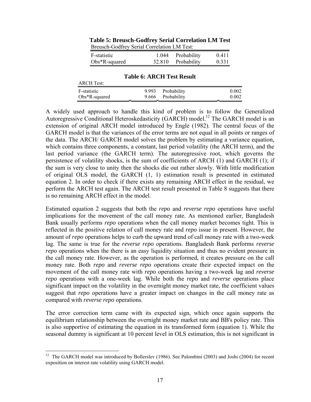| DIGUSCH-OOGHEY SEHAI COHEIAHOH LIVI TEST. |        |             |       |  |  |  |
|-------------------------------------------|--------|-------------|-------|--|--|--|
| F-statistic                               | 1.044  | Probability | 0.411 |  |  |  |
| $Obs*R$ -squared                          | 32.810 | Probability | 0.331 |  |  |  |

#### **Table 5: Breusch-Godfrey Serial Correlation LM Test**  Breusch-Godfrey Serial Correlation LM Test:

## **Table 6: ARCH Test Result**

| <b>ARCH Test:</b> |            |             |                                   |
|-------------------|------------|-------------|-----------------------------------|
| F-statistic       | 9.993      | Probability | 0.002                             |
| $Obs*R$ -squared  | 9.666<br>- | Probability | 0.002<br>$\overline{\phantom{a}}$ |

A widely used approach to handle this kind of problem is to follow the Generalized Autoregressive Conditional Heteroskedasticity (GARCH) model.<sup>12</sup> The GARCH model is an extension of original ARCH model introduced by Engle (1982). The central focus of the GARCH model is that the variances of the error terms are not equal in all points or ranges of the data. The ARCH/ GARCH model solves the problem by estimating a variance equation, which contains three components, a constant, last period volatility (the ARCH term), and the last period variance (the GARCH term). The autoregressive root, which governs the persistence of volatility shocks, is the sum of coefficients of ARCH (1) and GARCH (1); if the sum is very close to unity then the shocks die out rather slowly. With little modification of original OLS model, the GARCH (1, 1) estimation result is presented in estimated equation 2. In order to check if there exists any remaining ARCH effect in the residual, we perform the ARCH test again. The ARCH test result presented in Table 8 suggests that there is no remaining ARCH effect in the model.

Estimated equation 2 suggests that both the *repo* and *reverse repo* operations have useful implications for the movement of the call money rate. As mentioned earlier, Bangladesh Bank usually performs *repo* operations when the call money market becomes tight. This is reflected in the positive relation of call money rate and *repo* issue in present. However, the amount of *repo* operations helps to curb the upward trend of call money rate with a two-week lag. The same is true for the *reverse repo* operations. Bangladesh Bank performs *reverse repo* operations when the there is an easy liquidity situation and thus no evident pressure in the call money rate. However, as the operation is performed, it creates pressure on the call money rate. Both *repo* and *reverse repo* operations create their expected impact on the movement of the call money rate with *repo* operations having a two-week lag and *reverse repo* operations with a one-week lag. While both the *repo* and *reverse* operations place significant impact on the volatility in the overnight money market rate, the coefficient values suggest that *repo* operations have a greater impact on changes in the call money rate as compared with *reverse repo* operations.

The error correction term came with its expected sign, which once again supports the equilibrium relationship between the overnight money market rate and BB's policy rate. This is also supportive of estimating the equation in its transformed form (equation 1). While the seasonal dummy is significant at 10 percent level in OLS estimation, this is not significant in

 $12$  The GARCH model was introduced by Bollerslev (1986). See Palombini (2003) and Joshi (2004) for recent exposition on interest rate volatility using GARCH model.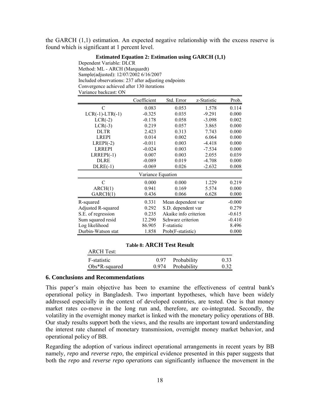the GARCH (1,1) estimation. An expected negative relationship with the excess reserve is found which is significant at 1 percent level.

#### **Estimated Equation 2: Estimation using GARCH (1,1)**

Dependent Variable: DLCR Method: ML - ARCH (Marquardt) Sample(adjusted): 12/07/2002 6/16/2007 Included observations: 237 after adjusting endpoints Convergence achieved after 130 iterations Variance backcast: ON

|                    | Coefficient       | Std. Error            | z-Statistic | Prob.    |
|--------------------|-------------------|-----------------------|-------------|----------|
| C                  | 0.083             | 0.053                 | 1.578       | 0.114    |
| $LCR(-1)-LTR(-1)$  | $-0.325$          | 0.035                 | $-9.291$    | 0.000    |
| $LCR(-2)$          | $-0.178$          | 0.058                 | $-3.098$    | 0.002    |
| $LCR(-3)$          | 0.219             | 0.057                 | 3.865       | 0.000    |
| <b>DLTR</b>        | 2.423             | 0.313                 | 7.743       | 0.000    |
| <b>LREPI</b>       | 0.014             | 0.002                 | 6.064       | 0.000    |
| $LREPI(-2)$        | $-0.011$          | 0.003                 | $-4.418$    | 0.000    |
| <b>LRREPI</b>      | $-0.024$          | 0.003                 | $-7.534$    | 0.000    |
| $LRREPI(-1)$       | 0.007             | 0.003                 | 2.055       | 0.039    |
| <b>DLRE</b>        | $-0.089$          | 0.019                 | $-4.708$    | 0.000    |
| $DLRE(-1)$         | $-0.069$          | 0.026                 | $-2.632$    | 0.008    |
|                    | Variance Equation |                       |             |          |
| C                  | 0.000             | 0.000                 | 1.229       | 0.219    |
| ARCH(1)            | 0.941             | 0.169                 | 5.574       | 0.000    |
| GARCH(1)           | 0.436             | 0.066                 | 6.628       | 0.000    |
| R-squared          | 0.331             | Mean dependent var    |             | $-0.000$ |
| Adjusted R-squared | 0.292             | S.D. dependent var    |             | 0.279    |
| S.E. of regression | 0.235             | Akaike info criterion |             | $-0.615$ |
| Sum squared resid  | 12.290            | Schwarz criterion     |             | $-0.410$ |
| Log likelihood     | 86.905            | F-statistic           |             | 8.496    |
| Durbin-Watson stat | 1.858             | Prob(F-statistic)     | 0.000       |          |

#### **Table 8: ARCH Test Result**

| <b>ARCH Test:</b> |      |                   |      |
|-------------------|------|-------------------|------|
| F-statistic       | 0.97 | Probability       | 0.33 |
| $Obs*R$ -squared  |      | 0.974 Probability | 0.32 |

#### **6. Conclusions and Recommendations**

This paper's main objective has been to examine the effectiveness of central bank's operational policy in Bangladesh. Two important hypotheses, which have been widely addressed especially in the context of developed countries, are tested. One is that money market rates co-move in the long run and, therefore, are co-integrated. Secondly, the volatility in the overnight money market is linked with the monetary policy operations of BB. Our study results support both the views, and the results are important toward understanding the interest rate channel of monetary transmission, overnight money market behavior, and operational policy of BB.

Regarding the adoption of various indirect operational arrangements in recent years by BB namely, *repo* and *reverse repo,* the empirical evidence presented in this paper suggests that both the *repo* and *reverse repo operations* can significantly influence the movement in the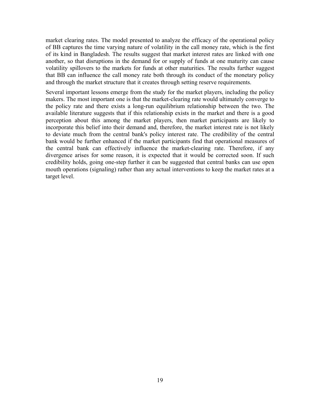market clearing rates. The model presented to analyze the efficacy of the operational policy of BB captures the time varying nature of volatility in the call money rate, which is the first of its kind in Bangladesh. The results suggest that market interest rates are linked with one another, so that disruptions in the demand for or supply of funds at one maturity can cause volatility spillovers to the markets for funds at other maturities. The results further suggest that BB can influence the call money rate both through its conduct of the monetary policy and through the market structure that it creates through setting reserve requirements.

Several important lessons emerge from the study for the market players, including the policy makers. The most important one is that the market-clearing rate would ultimately converge to the policy rate and there exists a long-run equilibrium relationship between the two. The available literature suggests that if this relationship exists in the market and there is a good perception about this among the market players, then market participants are likely to incorporate this belief into their demand and, therefore, the market interest rate is not likely to deviate much from the central bank's policy interest rate. The credibility of the central bank would be further enhanced if the market participants find that operational measures of the central bank can effectively influence the market-clearing rate. Therefore, if any divergence arises for some reason, it is expected that it would be corrected soon. If such credibility holds, going one-step further it can be suggested that central banks can use open mouth operations (signaling) rather than any actual interventions to keep the market rates at a target level.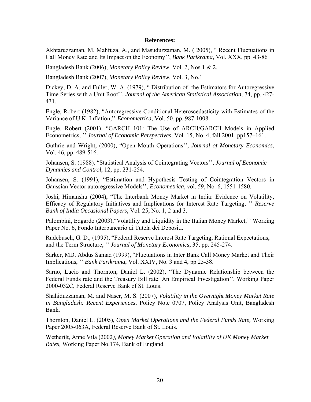### **References:**

Akhtaruzzaman, M, Mahfuza, A., and Masuduzzaman, M. ( 2005), " Recent Fluctuations in Call Money Rate and Its Impact on the Economy'', *Bank Parikrama*, Vol. XXX, pp. 43-86

Bangladesh Bank (2006), *Monetary Policy Review,* Vol. 2, Nos.1 & 2.

Bangladesh Bank (2007), *Monetary Policy Review,* Vol. 3, No.1

Dickey, D. A. and Fuller, W. A. (1979), " Distribution of the Estimators for Autoregressive Time Series with a Unit Root'', *Journal of the American Statistical Association*, 74, pp. 427- 431.

Engle, Robert (1982), "Autoregressive Conditional Heteroscedasticity with Estimates of the Variance of U.K. Inflation,'' *Econometrica*, Vol. 50, pp. 987-1008.

Engle, Robert (2001), "GARCH 101: The Use of ARCH/GARCH Models in Applied Econometrics, '' *Journal of Economic Perspectives,* Vol. 15, No. 4, fall 2001, pp157–161.

Guthrie and Wright, (2000), "Open Mouth Operations'', *Journal of Monetary Economics*, Vol. 46, pp. 489-516.

Johansen, S. (1988), "Statistical Analysis of Cointegrating Vectors'', *Journal of Economic Dynamics and Control*, 12, pp. 231-254.

Johansen, S. (1991), "Estimation and Hypothesis Testing of Cointegration Vectors in Gaussian Vector autoregressive Models'', *Econometrica*, vol. 59, No. 6, 1551-1580.

Joshi, Himanshu (2004), "The Interbank Money Market in India: Evidence on Volatility, Efficacy of Regulatory Initiatives and Implications for Interest Rate Targeting, '' *Reserve Bank of India Occasional Papers*, Vol. 25, No. 1, 2 and 3.

Palombini, Edgardo (2003),"Volatility and Liquidity in the Italian Money Market,'' Working Paper No. 6, Fondo Interbancario di Tutela dei Depositi.

Rudebusch, G. D., (1995), "Federal Reserve Interest Rate Targeting, Rational Expectations, and the Term Structure, '' *Journal of Monetary Economics*, 35, pp. 245-274.

Sarker, MD. Abdus Samad (1999), "Fluctuations in Inter Bank Call Money Market and Their Implications, '' *Bank Parikrama*, Vol. XXIV, No. 3 and 4, pp 25-38.

Sarno, Lucio and Thornton, Daniel L. (2002), "The Dynamic Relationship between the Federal Funds rate and the Treasury Bill rate: An Empirical Investigation'', Working Paper 2000-032C, Federal Reserve Bank of St. Louis.

Shahiduzzaman, M. and Naser, M. S. (2007), *Volatility in the Overnight Money Market Rate in Bangladesh: Recent Experiences,* Policy Note 0707, Policy Analysis Unit, Bangladesh Bank.

Thornton, Daniel L. (2005), *Open Market Operations and the Federal Funds Rate,* Working Paper 2005-063A, Federal Reserve Bank of St. Louis.

Wetherilt, Anne Vila (2002*), Money Market Operation and Volatility of UK Money Market Rates,* Working Paper No.174, Bank of England.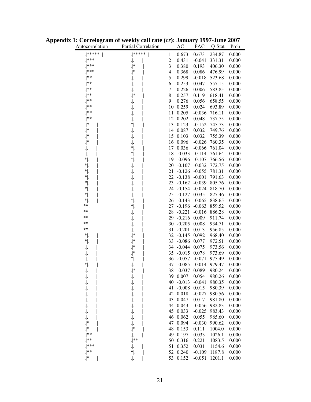| Autocorrelation | Partial Correlation |                | AC       | PAC      | Q-Stat | Prob  |
|-----------------|---------------------|----------------|----------|----------|--------|-------|
| . *****         | $^{*****}$          | 1              | 0.673    | 0.673    | 234.87 | 0.000 |
| ***             |                     | $\overline{c}$ | 0.431    | $-0.041$ | 331.31 | 0.000 |
| $.$ ***         | $.   *$             | $\mathfrak{Z}$ | 0.380    | 0.193    | 406.30 | 0.000 |
| $.$ ***         | $.   *$             | 4              | 0.368    | 0.086    | 476.99 | 0.000 |
| $.$ **          |                     | 5              | 0.299    | $-0.018$ |        | 0.000 |
| $.$ **          |                     |                |          |          | 523.68 |       |
| $ $ **          |                     | 6              | 0.253    | 0.047    | 557.15 | 0.000 |
|                 |                     | $\overline{7}$ | 0.226    | 0.006    | 583.85 | 0.000 |
| $***$           | $\cdot  ^*$         | 8              | 0.257    | 0.119    | 618.41 | 0.000 |
| $***$           |                     | 9              | 0.276    | 0.056    | 658.55 | 0.000 |
| **              | $.$                 | 10             | 0.259    | 0.024    | 693.89 | 0.000 |
| $.$   $*$       | $\cdot$  .          | 11             | 0.205    | $-0.036$ | 716.11 | 0.000 |
| $.$ **          | $.$                 | 12             | 0.202    | 0.048    | 737.75 | 0.000 |
| $.   *$         | * .                 | 13             | 0.123    | $-0.152$ | 745.73 | 0.000 |
| .∣*             |                     | 14             | 0.087    | 0.032    | 749.76 | 0.000 |
| .∣*             |                     | 15             | 0.103    | 0.032    | 755.39 | 0.000 |
| .∣*             |                     | 16             | 0.096    | $-0.026$ | 760.35 | 0.000 |
| $.$             | $^*$ .              | 17             | 0.036    | $-0.066$ | 761.04 | 0.000 |
| $.$             | $^*$ .              | 18             | $-0.033$ | $-0.114$ | 761.64 | 0.000 |
| $^*$ .          | $^* .$              | 19             | $-0.096$ | $-0.107$ | 766.56 | 0.000 |
| $^*$ .          | $.$                 | 20             | $-0.107$ | $-0.032$ | 772.75 | 0.000 |
| $^*$ .          | $.$                 | 21             | $-0.126$ | $-0.055$ | 781.31 | 0.000 |
| $^*$ .          | $.$                 | 22             | $-0.138$ | $-0.001$ | 791.63 | 0.000 |
| $*$  .          | $.$                 | 23             | $-0.162$ | $-0.039$ | 805.76 | 0.000 |
| $^{\ast}$ .     | $.$                 | 24             | $-0.154$ | $-0.024$ | 818.70 | 0.000 |
| $^{\ast}$ .     | $.$                 | 25             | $-0.127$ | 0.035    | 827.46 | 0.000 |
| $^{\ast}$ .     | $^*$ .              | 26             | $-0.143$ | $-0.065$ | 838.65 | 0.000 |
| **              | $^*$ .              | 27             | $-0.196$ | $-0.063$ | 859.52 | 0.000 |
| $***$           |                     | 28             | $-0.221$ | $-0.016$ | 886.28 | 0.000 |
| **              |                     | 29             | $-0.216$ | 0.009    | 911.74 | 0.000 |
| **              | $.$                 | 30             | $-0.205$ | 0.008    | 934.71 | 0.000 |
| $**$ .          | $.$                 | 31             | $-0.201$ | 0.013    | 956.85 | 0.000 |
| $^*$ .          | $\cdot  ^*$         | 32             | $-0.145$ | 0.092    | 968.40 | 0.000 |
| $^*$ .          | $.   *$             | 33             | $-0.086$ | 0.077    | 972.51 | 0.000 |
| $.$             | $\cdot  ^*$         | 34             | $-0.044$ | 0.075    | 973.56 | 0.000 |
| $.$             | $\cdot  ^*$         | 35             | $-0.015$ | 0.078    | 973.69 | 0.000 |
|                 | * .                 | 36             | $-0.057$ | $-0.071$ | 975.49 | 0.000 |
| $^{\ast}$ .     | $.$                 | 37             | $-0.085$ | $-0.014$ | 979.47 | 0.000 |
|                 | *                   | 38             | $-0.037$ | 0.089    | 980.24 | 0.000 |
|                 |                     |                | 39 0.007 | 0.054    | 980.26 | 0.000 |
|                 |                     | 40             | $-0.013$ | $-0.041$ | 980.35 | 0.000 |
|                 |                     | 41             | $-0.008$ | 0.015    | 980.39 | 0.000 |
|                 |                     |                | 42 0.018 | $-0.027$ | 980.56 | 0.000 |
| ٠ .             |                     | 43             | 0.047    | 0.017    | 981.80 | 0.000 |
| $\cdot \rvert.$ | $.$                 |                | 44 0.043 | $-0.056$ | 982.83 | 0.000 |
| $.$             |                     | 45             | 0.033    | $-0.025$ | 983.43 | 0.000 |
|                 | $\cdot$ .           | 46             | 0.062    | 0.055    | 985.60 | 0.000 |
| $\cdot  ^*$     | $\cdot$ .           | 47             | 0.094    | $-0.030$ | 990.62 | 0.000 |
| $\cdot  ^*$     | .∣*                 | 48             | 0.153    | 0.111    | 1004.0 | 0.000 |
| $.$ **          | . .                 | 49             | 0.197    | 0.033    | 1026.1 | 0.000 |
| $.$   $*$       | $.$ **              | 50             | 0.316    | 0.221    | 1083.5 | 0.000 |
| $.$ ***         | $.$                 | 51             | 0.352    | 0.031    | 1154.6 | 0.000 |
| .∤**            | * .                 | 52             | 0.240    | $-0.109$ | 1187.8 | 0.000 |
| .∣*             | $.$                 | 53             | 0.152    | $-0.051$ | 1201.1 | 0.000 |
|                 |                     |                |          |          |        |       |

**Appendix 1: Correlogram of weekly call rate (***cr***): January 1997-June 2007**